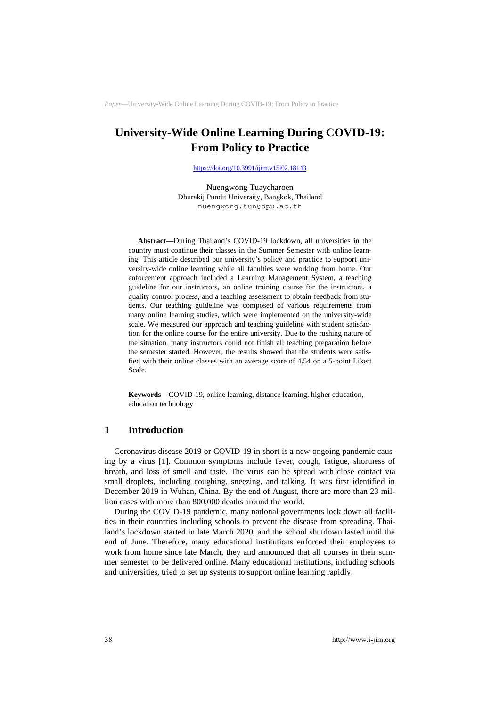# **University-Wide Online Learning During COVID-19: From Policy to Practice**

<https://doi.org/10.3991/ijim.v15i02.18143>

Nuengwong Tuaycharoen Dhurakij Pundit University, Bangkok, Thailand [nuengwong.tun@dpu.ac.th](mailto:nuengwong.tun@dpu.ac.th)

**Abstract—**During Thailand's COVID-19 lockdown, all universities in the country must continue their classes in the Summer Semester with online learning. This article described our university's policy and practice to support university-wide online learning while all faculties were working from home. Our enforcement approach included a Learning Management System, a teaching guideline for our instructors, an online training course for the instructors, a quality control process, and a teaching assessment to obtain feedback from students. Our teaching guideline was composed of various requirements from many online learning studies, which were implemented on the university-wide scale. We measured our approach and teaching guideline with student satisfaction for the online course for the entire university. Due to the rushing nature of the situation, many instructors could not finish all teaching preparation before the semester started. However, the results showed that the students were satisfied with their online classes with an average score of 4.54 on a 5-point Likert Scale.

**Keywords—**COVID-19, online learning, distance learning, higher education, education technology

### **1 Introduction**

Coronavirus disease 2019 or COVID-19 in short is a new ongoing pandemic causing by a virus [1]. Common symptoms include fever, cough, fatigue, shortness of breath, and loss of smell and taste. The virus can be spread with close contact via small droplets, including coughing, sneezing, and talking. It was first identified in December 2019 in Wuhan, China. By the end of August, there are more than 23 million cases with more than 800,000 deaths around the world.

During the COVID-19 pandemic, many national governments lock down all facilities in their countries including schools to prevent the disease from spreading. Thailand's lockdown started in late March 2020, and the school shutdown lasted until the end of June. Therefore, many educational institutions enforced their employees to work from home since late March, they and announced that all courses in their summer semester to be delivered online. Many educational institutions, including schools and universities, tried to set up systems to support online learning rapidly.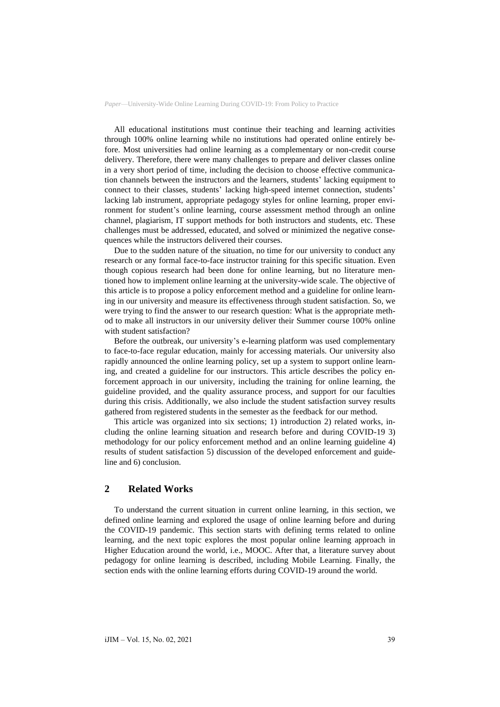All educational institutions must continue their teaching and learning activities through 100% online learning while no institutions had operated online entirely before. Most universities had online learning as a complementary or non-credit course delivery. Therefore, there were many challenges to prepare and deliver classes online in a very short period of time, including the decision to choose effective communication channels between the instructors and the learners, students' lacking equipment to connect to their classes, students' lacking high-speed internet connection, students' lacking lab instrument, appropriate pedagogy styles for online learning, proper environment for student's online learning, course assessment method through an online channel, plagiarism, IT support methods for both instructors and students, etc. These challenges must be addressed, educated, and solved or minimized the negative consequences while the instructors delivered their courses.

Due to the sudden nature of the situation, no time for our university to conduct any research or any formal face-to-face instructor training for this specific situation. Even though copious research had been done for online learning, but no literature mentioned how to implement online learning at the university-wide scale. The objective of this article is to propose a policy enforcement method and a guideline for online learning in our university and measure its effectiveness through student satisfaction. So, we were trying to find the answer to our research question: What is the appropriate method to make all instructors in our university deliver their Summer course 100% online with student satisfaction?

Before the outbreak, our university's e-learning platform was used complementary to face-to-face regular education, mainly for accessing materials. Our university also rapidly announced the online learning policy, set up a system to support online learning, and created a guideline for our instructors. This article describes the policy enforcement approach in our university, including the training for online learning, the guideline provided, and the quality assurance process, and support for our faculties during this crisis. Additionally, we also include the student satisfaction survey results gathered from registered students in the semester as the feedback for our method.

This article was organized into six sections; 1) introduction 2) related works, including the online learning situation and research before and during COVID-19 3) methodology for our policy enforcement method and an online learning guideline 4) results of student satisfaction 5) discussion of the developed enforcement and guideline and 6) conclusion.

## **2 Related Works**

To understand the current situation in current online learning, in this section, we defined online learning and explored the usage of online learning before and during the COVID-19 pandemic. This section starts with defining terms related to online learning, and the next topic explores the most popular online learning approach in Higher Education around the world, i.e., MOOC. After that, a literature survey about pedagogy for online learning is described, including Mobile Learning. Finally, the section ends with the online learning efforts during COVID-19 around the world.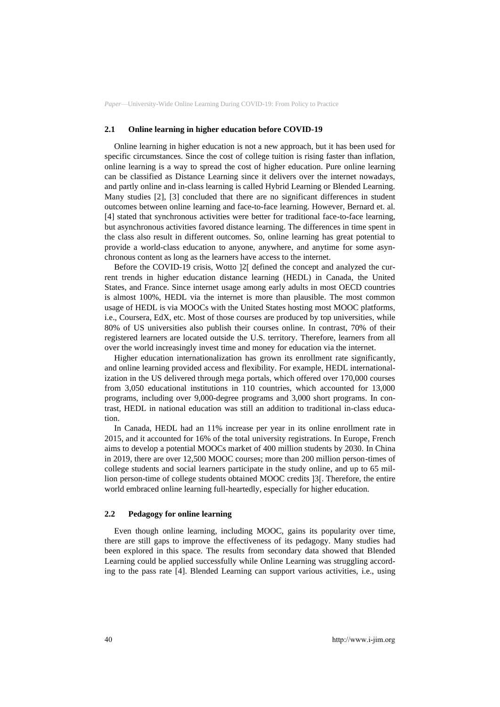#### **2.1 Online learning in higher education before COVID-19**

Online learning in higher education is not a new approach, but it has been used for specific circumstances. Since the cost of college tuition is rising faster than inflation, online learning is a way to spread the cost of higher education. Pure online learning can be classified as Distance Learning since it delivers over the internet nowadays, and partly online and in-class learning is called Hybrid Learning or Blended Learning. Many studies [2], [3] concluded that there are no significant differences in student outcomes between online learning and face-to-face learning. However, Bernard et. al. [4] stated that synchronous activities were better for traditional face-to-face learning, but asynchronous activities favored distance learning. The differences in time spent in the class also result in different outcomes. So, online learning has great potential to provide a world-class education to anyone, anywhere, and anytime for some asynchronous content as long as the learners have access to the internet.

Before the COVID-19 crisis, Wotto [2] defined the concept and analyzed the current trends in higher education distance learning (HEDL) in Canada, the United States, and France. Since internet usage among early adults in most OECD countries is almost 100%, HEDL via the internet is more than plausible. The most common usage of HEDL is via MOOCs with the United States hosting most MOOC platforms, i.e., Coursera, EdX, etc. Most of those courses are produced by top universities, while 80% of US universities also publish their courses online. In contrast, 70% of their registered learners are located outside the U.S. territory. Therefore, learners from all over the world increasingly invest time and money for education via the internet.

Higher education internationalization has grown its enrollment rate significantly, and online learning provided access and flexibility. For example, HEDL internationalization in the US delivered through mega portals, which offered over 170,000 courses from 3,050 educational institutions in 110 countries, which accounted for 13,000 programs, including over 9,000-degree programs and 3,000 short programs. In contrast, HEDL in national education was still an addition to traditional in-class education.

In Canada, HEDL had an 11% increase per year in its online enrollment rate in 2015, and it accounted for 16% of the total university registrations. In Europe, French aims to develop a potential MOOCs market of 400 million students by 2030. In China in 2019, there are over 12,500 MOOC courses; more than 200 million person-times of college students and social learners participate in the study online, and up to 65 million person-time of college students obtained MOOC credits [3]. Therefore, the entire world embraced online learning full-heartedly, especially for higher education.

#### **2.2 Pedagogy for online learning**

Even though online learning, including MOOC, gains its popularity over time, there are still gaps to improve the effectiveness of its pedagogy. Many studies had been explored in this space. The results from secondary data showed that Blended Learning could be applied successfully while Online Learning was struggling according to the pass rate [4]. Blended Learning can support various activities, i.e., using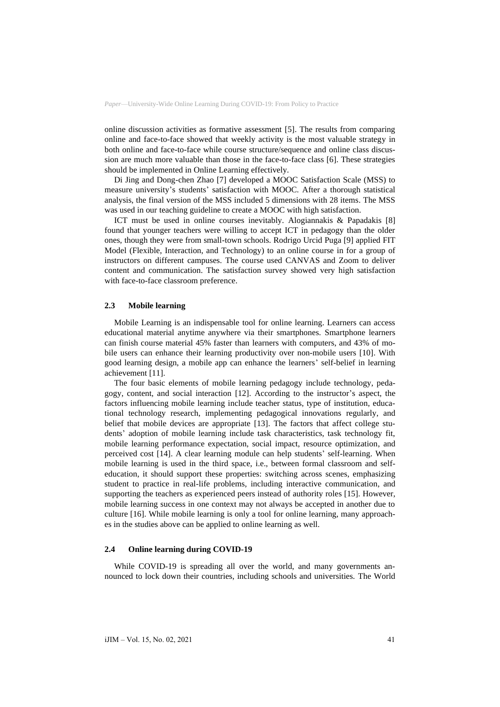online discussion activities as formative assessment [5]. The results from comparing online and face-to-face showed that weekly activity is the most valuable strategy in both online and face-to-face while course structure/sequence and online class discussion are much more valuable than those in the face-to-face class [6]. These strategies should be implemented in Online Learning effectively.

Di Jing and Dong-chen Zhao [7] developed a MOOC Satisfaction Scale (MSS) to measure university's students' satisfaction with MOOC. After a thorough statistical analysis, the final version of the MSS included 5 dimensions with 28 items. The MSS was used in our teaching guideline to create a MOOC with high satisfaction.

ICT must be used in online courses inevitably. Alogiannakis & Papadakis [8] found that younger teachers were willing to accept ICT in pedagogy than the older ones, though they were from small-town schools. Rodrigo Urcid Puga [9] applied FIT Model (Flexible, Interaction, and Technology) to an online course in for a group of instructors on different campuses. The course used CANVAS and Zoom to deliver content and communication. The satisfaction survey showed very high satisfaction with face-to-face classroom preference.

#### **2.3 Mobile learning**

Mobile Learning is an indispensable tool for online learning. Learners can access educational material anytime anywhere via their smartphones. Smartphone learners can finish course material 45% faster than learners with computers, and 43% of mobile users can enhance their learning productivity over non-mobile users [10]. With good learning design, a mobile app can enhance the learners' self-belief in learning achievement [11].

The four basic elements of mobile learning pedagogy include technology, pedagogy, content, and social interaction [12]. According to the instructor's aspect, the factors influencing mobile learning include teacher status, type of institution, educational technology research, implementing pedagogical innovations regularly, and belief that mobile devices are appropriate [13]. The factors that affect college students' adoption of mobile learning include task characteristics, task technology fit, mobile learning performance expectation, social impact, resource optimization, and perceived cost [14]. A clear learning module can help students' self-learning. When mobile learning is used in the third space, i.e., between formal classroom and selfeducation, it should support these properties: switching across scenes, emphasizing student to practice in real-life problems, including interactive communication, and supporting the teachers as experienced peers instead of authority roles [15]. However, mobile learning success in one context may not always be accepted in another due to culture [16]. While mobile learning is only a tool for online learning, many approaches in the studies above can be applied to online learning as well.

#### **2.4 Online learning during COVID-19**

While COVID-19 is spreading all over the world, and many governments announced to lock down their countries, including schools and universities. The World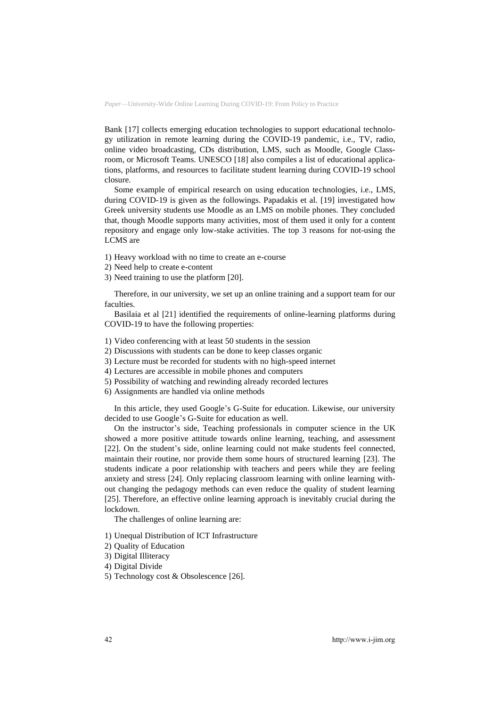Bank [17] collects emerging education technologies to support educational technology utilization in remote learning during the COVID-19 pandemic, i.e., TV, radio, online video broadcasting, CDs distribution, LMS, such as Moodle, Google Classroom, or Microsoft Teams. UNESCO [18] also compiles a list of educational applications, platforms, and resources to facilitate student learning during COVID-19 school closure.

Some example of empirical research on using education technologies, i.e., LMS, during COVID-19 is given as the followings. Papadakis et al. [19] investigated how Greek university students use Moodle as an LMS on mobile phones. They concluded that, though Moodle supports many activities, most of them used it only for a content repository and engage only low-stake activities. The top 3 reasons for not-using the LCMS are

- 1) Heavy workload with no time to create an e-course
- 2) Need help to create e-content
- 3) Need training to use the platform [20].

Therefore, in our university, we set up an online training and a support team for our faculties.

Basilaia et al [21] identified the requirements of online-learning platforms during COVID-19 to have the following properties:

- 1) Video conferencing with at least 50 students in the session
- 2) Discussions with students can be done to keep classes organic
- 3) Lecture must be recorded for students with no high-speed internet
- 4) Lectures are accessible in mobile phones and computers
- 5) Possibility of watching and rewinding already recorded lectures
- 6) Assignments are handled via online methods

In this article, they used Google's G-Suite for education. Likewise, our university decided to use Google's G-Suite for education as well.

On the instructor's side, Teaching professionals in computer science in the UK showed a more positive attitude towards online learning, teaching, and assessment [22]. On the student's side, online learning could not make students feel connected, maintain their routine, nor provide them some hours of structured learning [23]. The students indicate a poor relationship with teachers and peers while they are feeling anxiety and stress [24]. Only replacing classroom learning with online learning without changing the pedagogy methods can even reduce the quality of student learning [25]. Therefore, an effective online learning approach is inevitably crucial during the lockdown.

The challenges of online learning are:

- 1) Unequal Distribution of ICT Infrastructure
- 2) Quality of Education
- 3) Digital Illiteracy
- 4) Digital Divide
- 5) Technology cost & Obsolescence [26].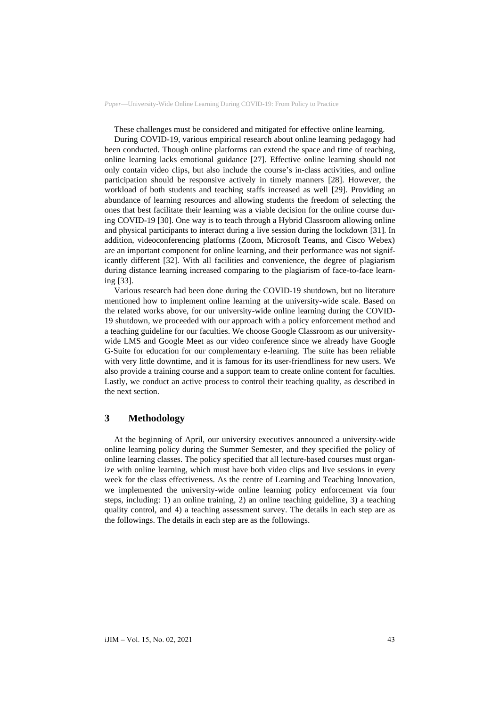These challenges must be considered and mitigated for effective online learning.

During COVID-19, various empirical research about online learning pedagogy had been conducted. Though online platforms can extend the space and time of teaching, online learning lacks emotional guidance [27]. Effective online learning should not only contain video clips, but also include the course's in-class activities, and online participation should be responsive actively in timely manners [28]. However, the workload of both students and teaching staffs increased as well [29]. Providing an abundance of learning resources and allowing students the freedom of selecting the ones that best facilitate their learning was a viable decision for the online course during COVID-19 [30]. One way is to teach through a Hybrid Classroom allowing online and physical participants to interact during a live session during the lockdown [31]. In addition, videoconferencing platforms (Zoom, Microsoft Teams, and Cisco Webex) are an important component for online learning, and their performance was not significantly different [32]. With all facilities and convenience, the degree of plagiarism during distance learning increased comparing to the plagiarism of face-to-face learning [33].

Various research had been done during the COVID-19 shutdown, but no literature mentioned how to implement online learning at the university-wide scale. Based on the related works above, for our university-wide online learning during the COVID-19 shutdown, we proceeded with our approach with a policy enforcement method and a teaching guideline for our faculties. We choose Google Classroom as our universitywide LMS and Google Meet as our video conference since we already have Google G-Suite for education for our complementary e-learning. The suite has been reliable with very little downtime, and it is famous for its user-friendliness for new users. We also provide a training course and a support team to create online content for faculties. Lastly, we conduct an active process to control their teaching quality, as described in the next section.

## **3 Methodology**

At the beginning of April, our university executives announced a university-wide online learning policy during the Summer Semester, and they specified the policy of online learning classes. The policy specified that all lecture-based courses must organize with online learning, which must have both video clips and live sessions in every week for the class effectiveness. As the centre of Learning and Teaching Innovation, we implemented the university-wide online learning policy enforcement via four steps, including: 1) an online training, 2) an online teaching guideline, 3) a teaching quality control, and 4) a teaching assessment survey. The details in each step are as the followings. The details in each step are as the followings.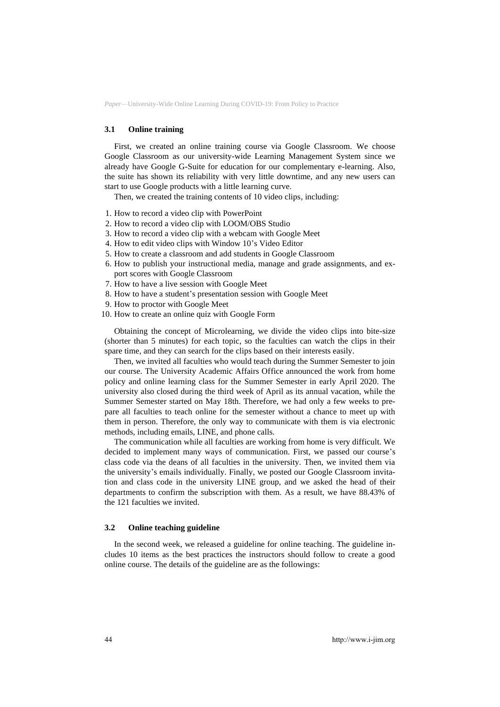### **3.1 Online training**

First, we created an online training course via Google Classroom. We choose Google Classroom as our university-wide Learning Management System since we already have Google G-Suite for education for our complementary e-learning. Also, the suite has shown its reliability with very little downtime, and any new users can start to use Google products with a little learning curve.

Then, we created the training contents of 10 video clips, including:

- 1. How to record a video clip with PowerPoint
- 2. How to record a video clip with LOOM/OBS Studio
- 3. How to record a video clip with a webcam with Google Meet
- 4. How to edit video clips with Window 10's Video Editor
- 5. How to create a classroom and add students in Google Classroom
- 6. How to publish your instructional media, manage and grade assignments, and export scores with Google Classroom
- 7. How to have a live session with Google Meet
- 8. How to have a student's presentation session with Google Meet
- 9. How to proctor with Google Meet
- 10. How to create an online quiz with Google Form

Obtaining the concept of Microlearning, we divide the video clips into bite-size (shorter than 5 minutes) for each topic, so the faculties can watch the clips in their spare time, and they can search for the clips based on their interests easily.

Then, we invited all faculties who would teach during the Summer Semester to join our course. The University Academic Affairs Office announced the work from home policy and online learning class for the Summer Semester in early April 2020. The university also closed during the third week of April as its annual vacation, while the Summer Semester started on May 18th. Therefore, we had only a few weeks to prepare all faculties to teach online for the semester without a chance to meet up with them in person. Therefore, the only way to communicate with them is via electronic methods, including emails, LINE, and phone calls.

The communication while all faculties are working from home is very difficult. We decided to implement many ways of communication. First, we passed our course's class code via the deans of all faculties in the university. Then, we invited them via the university's emails individually. Finally, we posted our Google Classroom invitation and class code in the university LINE group, and we asked the head of their departments to confirm the subscription with them. As a result, we have 88.43% of the 121 faculties we invited.

### **3.2 Online teaching guideline**

In the second week, we released a guideline for online teaching. The guideline includes 10 items as the best practices the instructors should follow to create a good online course. The details of the guideline are as the followings: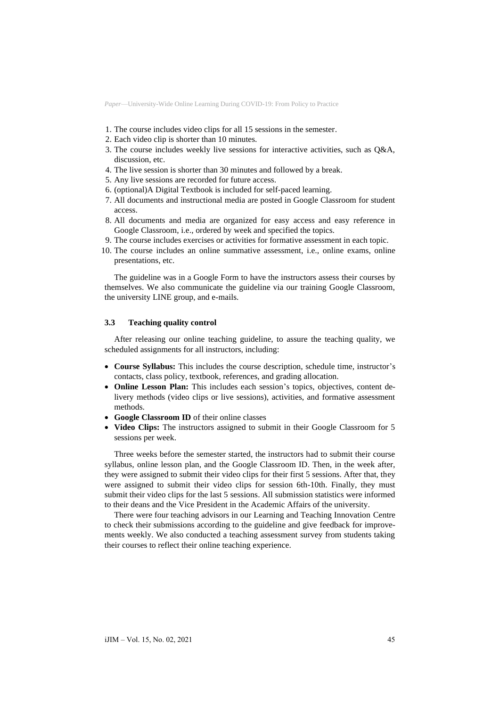- 1. The course includes video clips for all 15 sessions in the semester.
- 2. Each video clip is shorter than 10 minutes.
- 3. The course includes weekly live sessions for interactive activities, such as Q&A, discussion, etc.
- 4. The live session is shorter than 30 minutes and followed by a break.
- 5. Any live sessions are recorded for future access.
- 6. (optional)A Digital Textbook is included for self-paced learning.
- 7. All documents and instructional media are posted in Google Classroom for student access.
- 8. All documents and media are organized for easy access and easy reference in Google Classroom, i.e., ordered by week and specified the topics.
- 9. The course includes exercises or activities for formative assessment in each topic.
- 10. The course includes an online summative assessment, i.e., online exams, online presentations, etc.

The guideline was in a Google Form to have the instructors assess their courses by themselves. We also communicate the guideline via our training Google Classroom, the university LINE group, and e-mails.

### **3.3 Teaching quality control**

After releasing our online teaching guideline, to assure the teaching quality, we scheduled assignments for all instructors, including:

- **Course Syllabus:** This includes the course description, schedule time, instructor's contacts, class policy, textbook, references, and grading allocation.
- **Online Lesson Plan:** This includes each session's topics, objectives, content delivery methods (video clips or live sessions), activities, and formative assessment methods.
- **Google Classroom ID** of their online classes
- **Video Clips:** The instructors assigned to submit in their Google Classroom for 5 sessions per week.

Three weeks before the semester started, the instructors had to submit their course syllabus, online lesson plan, and the Google Classroom ID. Then, in the week after, they were assigned to submit their video clips for their first 5 sessions. After that, they were assigned to submit their video clips for session 6th-10th. Finally, they must submit their video clips for the last 5 sessions. All submission statistics were informed to their deans and the Vice President in the Academic Affairs of the university.

There were four teaching advisors in our Learning and Teaching Innovation Centre to check their submissions according to the guideline and give feedback for improvements weekly. We also conducted a teaching assessment survey from students taking their courses to reflect their online teaching experience.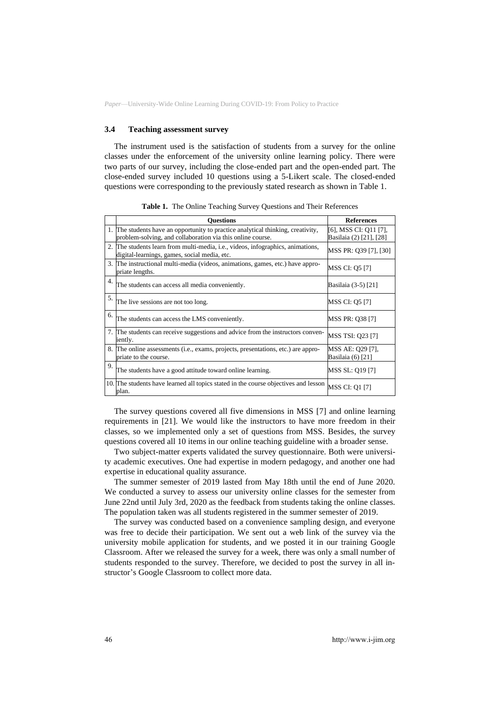### **3.4 Teaching assessment survey**

The instrument used is the satisfaction of students from a survey for the online classes under the enforcement of the university online learning policy. There were two parts of our survey, including the close-ended part and the open-ended part. The close-ended survey included 10 questions using a 5-Likert scale. The closed-ended questions were corresponding to the previously stated research as shown in Table 1.

|    | <b>Ouestions</b>                                                                                                                               | <b>References</b>                                |
|----|------------------------------------------------------------------------------------------------------------------------------------------------|--------------------------------------------------|
|    | 1. The students have an opportunity to practice analytical thinking, creativity,<br>problem-solving, and collaboration via this online course. | [6], MSS CI: Q11 [7],<br>Basilaia (2) [21], [28] |
|    | 2. The students learn from multi-media, i.e., videos, infographics, animations,<br>digital-learnings, games, social media, etc.                | MSS PR: Q39 [7], [30]                            |
|    | 3. The instructional multi-media (videos, animations, games, etc.) have appro-<br>priate lengths.                                              | MSS CI: Q5 [7]                                   |
| 4. | The students can access all media conveniently.                                                                                                | Basilaia (3-5) [21]                              |
| 5. | The live sessions are not too long.                                                                                                            | <b>MSS CI: Q5 [7]</b>                            |
| 6. | The students can access the LMS conveniently.                                                                                                  | MSS PR: Q38 [7]                                  |
|    | 7. The students can receive suggestions and advice from the instructors conven-<br>iently.                                                     | <b>MSS TSI: 023 [7]</b>                          |
|    | 8. The online assessments (i.e., exams, projects, presentations, etc.) are appro-<br>priate to the course.                                     | MSS AE: Q29 [7],<br>Basilaia (6) [21]            |
| 9. | The students have a good attitude toward online learning.                                                                                      | MSS SL: Q19 [7]                                  |
|    | 10. The students have learned all topics stated in the course objectives and lesson<br>plan.                                                   | <b>MSS CI: Q1 [7]</b>                            |

**Table 1.** The Online Teaching Survey Questions and Their References

The survey questions covered all five dimensions in MSS [7] and online learning requirements in [21]. We would like the instructors to have more freedom in their classes, so we implemented only a set of questions from MSS. Besides, the survey questions covered all 10 items in our online teaching guideline with a broader sense.

Two subject-matter experts validated the survey questionnaire. Both were university academic executives. One had expertise in modern pedagogy, and another one had expertise in educational quality assurance.

The summer semester of 2019 lasted from May 18th until the end of June 2020. We conducted a survey to assess our university online classes for the semester from June 22nd until July 3rd, 2020 as the feedback from students taking the online classes. The population taken was all students registered in the summer semester of 2019.

The survey was conducted based on a convenience sampling design, and everyone was free to decide their participation. We sent out a web link of the survey via the university mobile application for students, and we posted it in our training Google Classroom. After we released the survey for a week, there was only a small number of students responded to the survey. Therefore, we decided to post the survey in all instructor's Google Classroom to collect more data.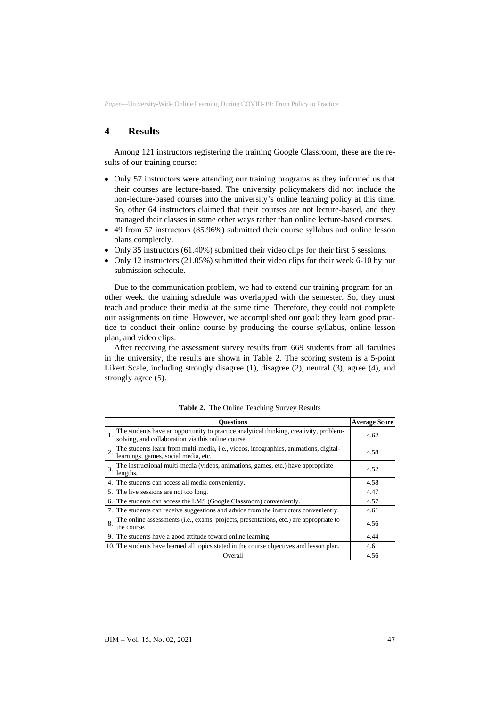## **4 Results**

Among 121 instructors registering the training Google Classroom, these are the results of our training course:

- Only 57 instructors were attending our training programs as they informed us that their courses are lecture-based. The university policymakers did not include the non-lecture-based courses into the university's online learning policy at this time. So, other 64 instructors claimed that their courses are not lecture-based, and they managed their classes in some other ways rather than online lecture-based courses.
- 49 from 57 instructors (85.96%) submitted their course syllabus and online lesson plans completely.
- Only 35 instructors (61.40%) submitted their video clips for their first 5 sessions.
- Only 12 instructors (21.05%) submitted their video clips for their week 6-10 by our submission schedule.

Due to the communication problem, we had to extend our training program for another week. the training schedule was overlapped with the semester. So, they must teach and produce their media at the same time. Therefore, they could not complete our assignments on time. However, we accomplished our goal: they learn good practice to conduct their online course by producing the course syllabus, online lesson plan, and video clips.

After receiving the assessment survey results from 669 students from all faculties in the university, the results are shown in Table 2. The scoring system is a 5-point Likert Scale, including strongly disagree (1), disagree (2), neutral (3), agree (4), and strongly agree (5).

|    | <b>Ouestions</b>                                                                                                                             | <b>Average Score</b> |
|----|----------------------------------------------------------------------------------------------------------------------------------------------|----------------------|
|    | The students have an opportunity to practice analytical thinking, creativity, problem-<br>solving, and collaboration via this online course. | 4.62                 |
|    | The students learn from multi-media, i.e., videos, infographics, animations, digital-<br>learnings, games, social media, etc.                | 4.58                 |
| 3. | The instructional multi-media (videos, animations, games, etc.) have appropriate<br>lengths.                                                 | 4.52                 |
| 4. | The students can access all media conveniently.                                                                                              | 4.58                 |
| 5. | The live sessions are not too long.                                                                                                          | 4.47                 |
| 6. | The students can access the LMS (Google Classroom) conveniently.                                                                             | 4.57                 |
| 7. | The students can receive suggestions and advice from the instructors conveniently.                                                           | 4.61                 |
| 8. | The online assessments (i.e., exams, projects, presentations, etc.) are appropriate to<br>the course.                                        | 4.56                 |
| 9. | The students have a good attitude toward online learning.                                                                                    | 4.44                 |
|    | 10. The students have learned all topics stated in the course objectives and lesson plan.                                                    | 4.61                 |
|    | Overall                                                                                                                                      | 4.56                 |

**Table 2.** The Online Teaching Survey Results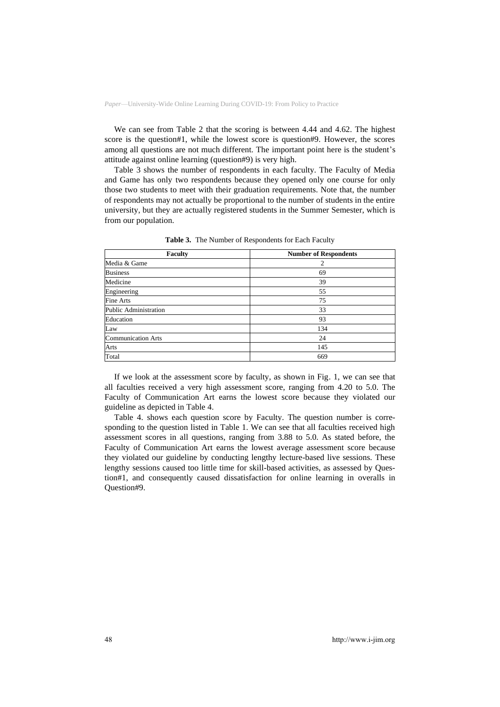We can see from Table 2 that the scoring is between 4.44 and 4.62. The highest score is the question#1, while the lowest score is question#9. However, the scores among all questions are not much different. The important point here is the student's attitude against online learning (question#9) is very high.

Table 3 shows the number of respondents in each faculty. The Faculty of Media and Game has only two respondents because they opened only one course for only those two students to meet with their graduation requirements. Note that, the number of respondents may not actually be proportional to the number of students in the entire university, but they are actually registered students in the Summer Semester, which is from our population.

| <b>Faculty</b>            | <b>Number of Respondents</b> |
|---------------------------|------------------------------|
| Media & Game              | 2                            |
| <b>Business</b>           | 69                           |
| Medicine                  | 39                           |
| Engineering               | 55                           |
| Fine Arts                 | 75                           |
| Public Administration     | 33                           |
| Education                 | 93                           |
| Law                       | 134                          |
| <b>Communication Arts</b> | 24                           |
| Arts                      | 145                          |
| Total                     | 669                          |

**Table 3.** The Number of Respondents for Each Faculty

If we look at the assessment score by faculty, as shown in Fig. 1, we can see that all faculties received a very high assessment score, ranging from 4.20 to 5.0. The Faculty of Communication Art earns the lowest score because they violated our guideline as depicted in Table 4.

Table 4. shows each question score by Faculty. The question number is corresponding to the question listed in Table 1. We can see that all faculties received high assessment scores in all questions, ranging from 3.88 to 5.0. As stated before, the Faculty of Communication Art earns the lowest average assessment score because they violated our guideline by conducting lengthy lecture-based live sessions. These lengthy sessions caused too little time for skill-based activities, as assessed by Question#1, and consequently caused dissatisfaction for online learning in overalls in Question#9.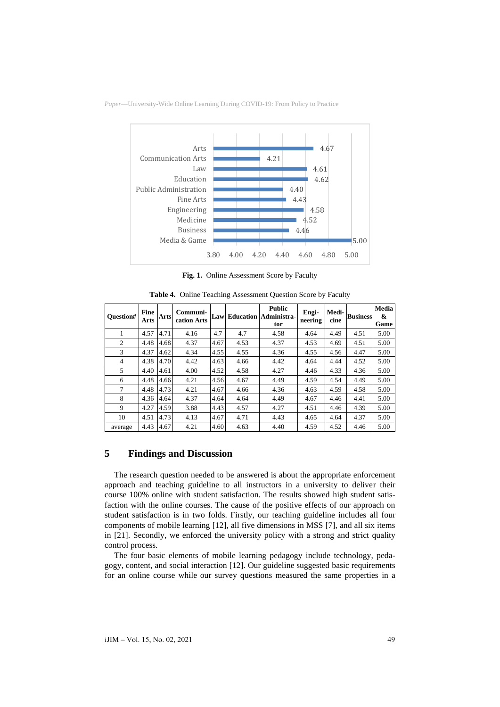

**Fig. 1.** Online Assessment Score by Faculty

| <b>Ouestion#</b> | Fine<br>Arts | Arts | Communi-<br>cation Arts |      |      | <b>Public</b><br><b>Law Education Administra-</b><br>tor | Engi-<br>neering | Medi-<br>cine | <b>Business</b> | <b>Media</b><br>&<br>Game |
|------------------|--------------|------|-------------------------|------|------|----------------------------------------------------------|------------------|---------------|-----------------|---------------------------|
| 1                | 4.57         | 4.71 | 4.16                    | 4.7  | 4.7  | 4.58                                                     | 4.64             | 4.49          | 4.51            | 5.00                      |
| 2                | 4.48         | 4.68 | 4.37                    | 4.67 | 4.53 | 4.37                                                     | 4.53             | 4.69          | 4.51            | 5.00                      |
| 3                | 4.37         | 4.62 | 4.34                    | 4.55 | 4.55 | 4.36                                                     | 4.55             | 4.56          | 4.47            | 5.00                      |
| 4                | 4.38         | 4.70 | 4.42                    | 4.63 | 4.66 | 4.42                                                     | 4.64             | 4.44          | 4.52            | 5.00                      |
| 5                | 4.40         | 4.61 | 4.00                    | 4.52 | 4.58 | 4.27                                                     | 4.46             | 4.33          | 4.36            | 5.00                      |
| 6                | 4.48         | 4.66 | 4.21                    | 4.56 | 4.67 | 4.49                                                     | 4.59             | 4.54          | 4.49            | 5.00                      |
| $\tau$           | 4.48         | 4.73 | 4.21                    | 4.67 | 4.66 | 4.36                                                     | 4.63             | 4.59          | 4.58            | 5.00                      |
| 8                | 4.36         | 4.64 | 4.37                    | 4.64 | 4.64 | 4.49                                                     | 4.67             | 4.46          | 4.41            | 5.00                      |
| 9                | 4.27         | 4.59 | 3.88                    | 4.43 | 4.57 | 4.27                                                     | 4.51             | 4.46          | 4.39            | 5.00                      |
| 10               | 4.51         | 4.73 | 4.13                    | 4.67 | 4.71 | 4.43                                                     | 4.65             | 4.64          | 4.37            | 5.00                      |
| average          | 4.43         | 4.67 | 4.21                    | 4.60 | 4.63 | 4.40                                                     | 4.59             | 4.52          | 4.46            | 5.00                      |

**Table 4.** Online Teaching Assessment Question Score by Faculty

## **5 Findings and Discussion**

The research question needed to be answered is about the appropriate enforcement approach and teaching guideline to all instructors in a university to deliver their course 100% online with student satisfaction. The results showed high student satisfaction with the online courses. The cause of the positive effects of our approach on student satisfaction is in two folds. Firstly, our teaching guideline includes all four components of mobile learning [12], all five dimensions in MSS [7], and all six items in [21]. Secondly, we enforced the university policy with a strong and strict quality control process.

The four basic elements of mobile learning pedagogy include technology, pedagogy, content, and social interaction [12]. Our guideline suggested basic requirements for an online course while our survey questions measured the same properties in a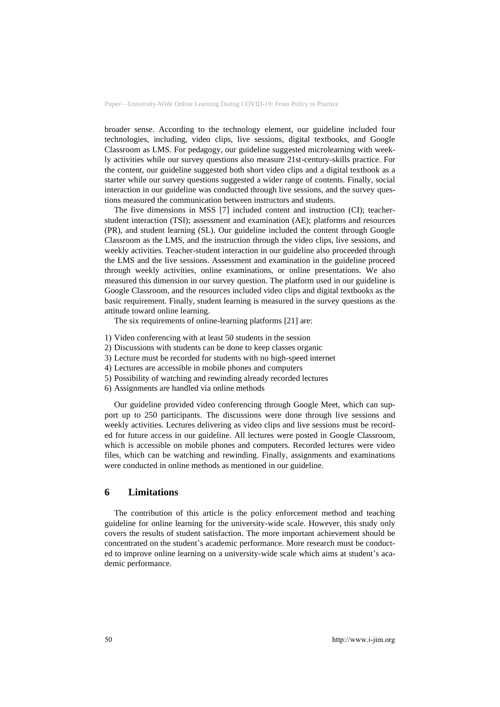broader sense. According to the technology element, our guideline included four technologies, including, video clips, live sessions, digital textbooks, and Google Classroom as LMS. For pedagogy, our guideline suggested microlearning with weekly activities while our survey questions also measure 21st-century-skills practice. For the content, our guideline suggested both short video clips and a digital textbook as a starter while our survey questions suggested a wider range of contents. Finally, social interaction in our guideline was conducted through live sessions, and the survey questions measured the communication between instructors and students.

The five dimensions in MSS [7] included content and instruction (CI); teacherstudent interaction (TSI); assessment and examination (AE); platforms and resources (PR), and student learning (SL). Our guideline included the content through Google Classroom as the LMS, and the instruction through the video clips, live sessions, and weekly activities. Teacher-student interaction in our guideline also proceeded through the LMS and the live sessions. Assessment and examination in the guideline proceed through weekly activities, online examinations, or online presentations. We also measured this dimension in our survey question. The platform used in our guideline is Google Classroom, and the resources included video clips and digital textbooks as the basic requirement. Finally, student learning is measured in the survey questions as the attitude toward online learning.

The six requirements of online-learning platforms [21] are:

- 1) Video conferencing with at least 50 students in the session
- 2) Discussions with students can be done to keep classes organic
- 3) Lecture must be recorded for students with no high-speed internet
- 4) Lectures are accessible in mobile phones and computers
- 5) Possibility of watching and rewinding already recorded lectures
- 6) Assignments are handled via online methods

Our guideline provided video conferencing through Google Meet, which can support up to 250 participants. The discussions were done through live sessions and weekly activities. Lectures delivering as video clips and live sessions must be recorded for future access in our guideline. All lectures were posted in Google Classroom, which is accessible on mobile phones and computers. Recorded lectures were video files, which can be watching and rewinding. Finally, assignments and examinations were conducted in online methods as mentioned in our guideline.

### **6 Limitations**

The contribution of this article is the policy enforcement method and teaching guideline for online learning for the university-wide scale. However, this study only covers the results of student satisfaction. The more important achievement should be concentrated on the student's academic performance. More research must be conducted to improve online learning on a university-wide scale which aims at student's academic performance.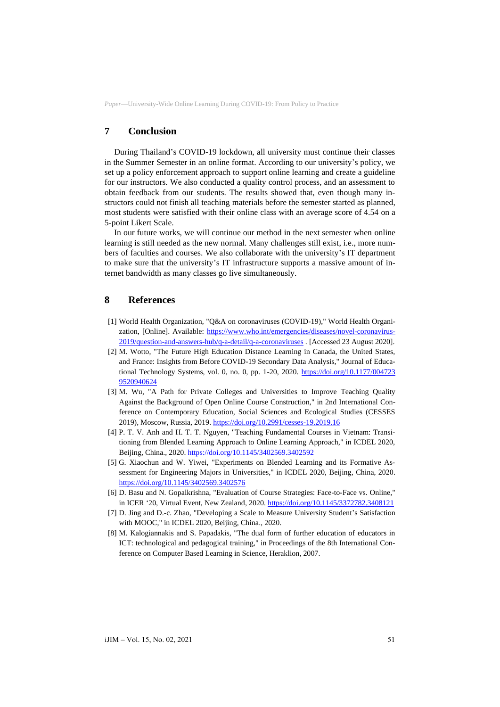## **7 Conclusion**

During Thailand's COVID-19 lockdown, all university must continue their classes in the Summer Semester in an online format. According to our university's policy, we set up a policy enforcement approach to support online learning and create a guideline for our instructors. We also conducted a quality control process, and an assessment to obtain feedback from our students. The results showed that, even though many instructors could not finish all teaching materials before the semester started as planned, most students were satisfied with their online class with an average score of 4.54 on a 5-point Likert Scale.

In our future works, we will continue our method in the next semester when online learning is still needed as the new normal. Many challenges still exist, i.e., more numbers of faculties and courses. We also collaborate with the university's IT department to make sure that the university's IT infrastructure supports a massive amount of internet bandwidth as many classes go live simultaneously.

## **8 References**

- [1] World Health Organization, "Q&A on coronaviruses (COVID-19)," World Health Organization, [Online]. Available: [https://www.who.int/emergencies/diseases/novel-coronavirus-](https://www.who.int/emergencies/diseases/novel-coronavirus-2019/question-and-answers-hub/q-a-detail/q-a-coronaviruses)[2019/question-and-answers-hub/q-a-detail/q-a-coronaviruses](https://www.who.int/emergencies/diseases/novel-coronavirus-2019/question-and-answers-hub/q-a-detail/q-a-coronaviruses) . [Accessed 23 August 2020].
- [2] M. Wotto, "The Future High Education Distance Learning in Canada, the United States, and France: Insights from Before COVID-19 Secondary Data Analysis," Journal of Educational Technology Systems, vol. 0, no. 0, pp. 1-20, 2020. [https://doi.org/10.1177/004723](https://doi.org/10.1177/0047239520940624) [9520940624](https://doi.org/10.1177/0047239520940624)
- [3] M. Wu, "A Path for Private Colleges and Universities to Improve Teaching Quality Against the Background of Open Online Course Construction," in 2nd International Conference on Contemporary Education, Social Sciences and Ecological Studies (CESSES 2019), Moscow, Russia, 2019.<https://doi.org/10.2991/cesses-19.2019.16>
- [4] P. T. V. Anh and H. T. T. Nguyen, "Teaching Fundamental Courses in Vietnam: Transitioning from Blended Learning Approach to Online Learning Approach," in ICDEL 2020, Beijing, China., 2020[. https://doi.org/10.1145/3402569.3402592](https://doi.org/10.1145/3402569.3402592)
- [5] G. Xiaochun and W. Yiwei, "Experiments on Blended Learning and its Formative Assessment for Engineering Majors in Universities," in ICDEL 2020, Beijing, China, 2020. <https://doi.org/10.1145/3402569.3402576>
- [6] D. Basu and N. Gopalkrishna, "Evaluation of Course Strategies: Face-to-Face vs. Online," in ICER '20, Virtual Event, New Zealand, 2020.<https://doi.org/10.1145/3372782.3408121>
- [7] D. Jing and D.-c. Zhao, "Developing a Scale to Measure University Student's Satisfaction with MOOC," in ICDEL 2020, Beijing, China., 2020.
- [8] M. Kalogiannakis and S. Papadakis, "The dual form of further education of educators in ICT: technological and pedagogical training," in Proceedings of the 8th International Conference on Computer Based Learning in Science, Heraklion, 2007.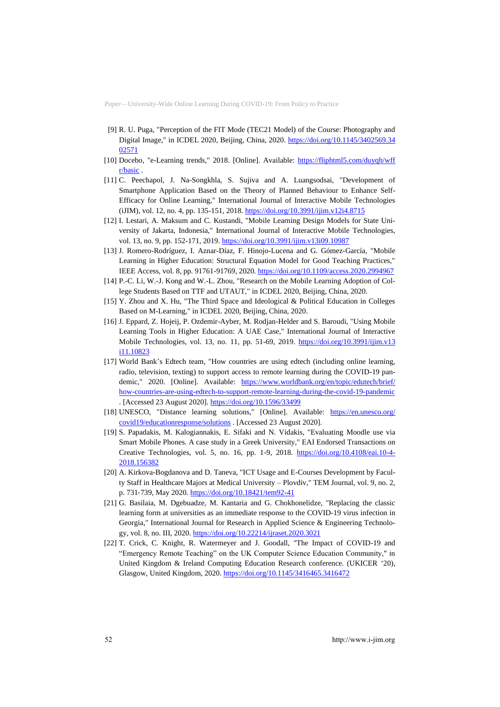- [9] R. U. Puga, "Perception of the FIT Mode (TEC21 Model) of the Course: Photography and Digital Image," in ICDEL 2020, Beijing, China, 2020. [https://doi.org/10.1145/3402569.34](https://doi.org/10.1145/3402569.3402571) [02571](https://doi.org/10.1145/3402569.3402571)
- [10] Docebo, "e-Learning trends," 2018. [Online]. Available: [https://fliphtml5.com/duyqh/wff](https://fliphtml5.com/duyqh/wffr/basic) [r/basic](https://fliphtml5.com/duyqh/wffr/basic) .
- [11] C. Peechapol, J. Na-Songkhla, S. Sujiva and A. Luangsodsai, "Development of Smartphone Application Based on the Theory of Planned Behaviour to Enhance Self-Efficacy for Online Learning," International Journal of Interactive Mobile Technologies (iJIM), vol. 12, no. 4, pp. 135-151, 2018.<https://doi.org/10.3991/ijim.v12i4.8715>
- [12] I. Lestari, A. Maksum and C. Kustandi, "Mobile Learning Design Models for State University of Jakarta, Indonesia," International Journal of Interactive Mobile Technologies, vol. 13, no. 9, pp. 152-171, 2019[. https://doi.org/10.3991/ijim.v13i09.10987](https://doi.org/10.3991/ijim.v13i09.10987)
- [13] J. Romero-Rodríguez, I. Aznar-Díaz, F. Hinojo-Lucena and G. Gómez-García, "Mobile Learning in Higher Education: Structural Equation Model for Good Teaching Practices," IEEE Access, vol. 8, pp. 91761-91769, 2020.<https://doi.org/10.1109/access.2020.2994967>
- [14] P.-C. Li, W.-J. Kong and W.-L. Zhou, "Research on the Mobile Learning Adoption of College Students Based on TTF and UTAUT," in ICDEL 2020, Beijing, China, 2020.
- [15] Y. Zhou and X. Hu, "The Third Space and Ideological & Political Education in Colleges Based on M-Learning," in ICDEL 2020, Beijing, China, 2020.
- [16] J. Eppard, Z. Hojeij, P. Ozdemir-Ayber, M. Rodjan-Helder and S. Baroudi, "Using Mobile Learning Tools in Higher Education: A UAE Case," International Journal of Interactive Mobile Technologies, vol. 13, no. 11, pp. 51-69, 2019. [https://doi.org/10.3991/ijim.v13](https://doi.org/10.3991/ijim.v13i11.10823) [i11.10823](https://doi.org/10.3991/ijim.v13i11.10823)
- [17] World Bank's Edtech team, "How countries are using edtech (including online learning, radio, television, texting) to support access to remote learning during the COVID-19 pandemic," 2020. [Online]. Available: [https://www.worldbank.org/en/topic/edutech/brief/](https://www.worldbank.org/en/topic/edutech/brief/how-countries-are-using-edtech-to-support-remote-learning-during-the-covid-19-pandemic) [how-countries-are-using-edtech-to-support-remote-learning-during-the-covid-19-pandemic](https://www.worldbank.org/en/topic/edutech/brief/how-countries-are-using-edtech-to-support-remote-learning-during-the-covid-19-pandemic) . [Accessed 23 August 2020]. <https://doi.org/10.1596/33499>
- [18] UNESCO, "Distance learning solutions," [Online]. Available: [https://en.unesco.org/](https://en.unesco.org/covid19/educationresponse/solutions) [covid19/educationresponse/solutions](https://en.unesco.org/covid19/educationresponse/solutions) . [Accessed 23 August 2020].
- [19] S. Papadakis, M. Kalogiannakis, E. Sifaki and N. Vidakis, "Evaluating Moodle use via Smart Mobile Phones. A case study in a Greek University," EAI Endorsed Transactions on Creative Technologies, vol. 5, no. 16, pp. 1-9, 2018. [https://doi.org/10.4108/eai.10-4-](https://doi.org/10.4108/eai.10-4-2018.156382) [2018.156382](https://doi.org/10.4108/eai.10-4-2018.156382)
- [20] A. Kirkova-Bogdanova and D. Taneva, "ICT Usage and E-Courses Development by Faculty Staff in Healthcare Majors at Medical University – Plovdiv," TEM Journal, vol. 9, no. 2, p. 731‐739, May 2020[. https://doi.org/10.18421/tem92-41](https://doi.org/10.18421/tem92-41)
- [21] G. Basilaia, M. Dgebuadze, M. Kantaria and G. Chokhonelidze, "Replacing the classic learning form at universities as an immediate response to the COVID-19 virus infection in Georgia," International Journal for Research in Applied Science & Engineering Technology, vol. 8, no. III, 2020.<https://doi.org/10.22214/ijraset.2020.3021>
- [22] T. Crick, C. Knight, R. Watermeyer and J. Goodall, "The Impact of COVID-19 and "Emergency Remote Teaching" on the UK Computer Science Education Community," in United Kingdom & Ireland Computing Education Research conference. (UKICER '20), Glasgow, United Kingdom, 2020.<https://doi.org/10.1145/3416465.3416472>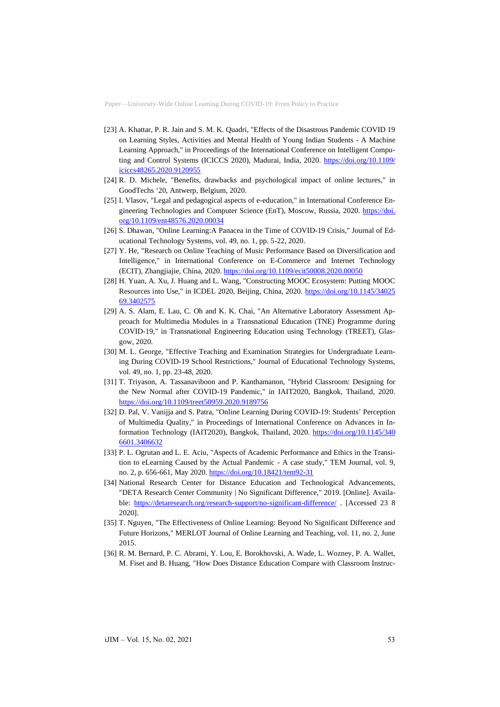- [23] A. Khattar, P. R. Jain and S. M. K. Quadri, "Effects of the Disastrous Pandemic COVID 19 on Learning Styles, Activities and Mental Health of Young Indian Students - A Machine Learning Approach," in Proceedings of the International Conference on Intelligent Computing and Control Systems (ICICCS 2020), Madurai, India, 2020. [https://doi.org/10.1109/](https://doi.org/10.1109/iciccs48265.2020.9120955) [iciccs48265.2020.9120955](https://doi.org/10.1109/iciccs48265.2020.9120955)
- [24] R. D. Michele, "Benefits, drawbacks and psychological impact of online lectures," in GoodTechs '20, Antwerp, Belgium, 2020.
- [25] I. Vlasov, "Legal and pedagogical aspects of e-education," in International Conference Engineering Technologies and Computer Science (EnT), Moscow, Russia, 2020. [https://doi.](https://doi.org/10.1109/ent48576.2020.00034) [org/10.1109/ent48576.2020.00034](https://doi.org/10.1109/ent48576.2020.00034)
- [26] S. Dhawan, "Online Learning:A Panacea in the Time of COVID-19 Crisis," Journal of Educational Technology Systems, vol. 49, no. 1, pp. 5-22, 2020.
- [27] Y. He, "Research on Online Teaching of Music Performance Based on Diversification and Intelligence," in International Conference on E-Commerce and Internet Technology (ECIT), Zhangjiajie, China, 2020[. https://doi.org/10.1109/ecit50008.2020.00050](https://doi.org/10.1109/ecit50008.2020.00050)
- [28] H. Yuan, A. Xu, J. Huang and L. Wang, "Constructing MOOC Ecosystem: Putting MOOC Resources into Use," in ICDEL 2020, Beijing, China, 2020. [https://doi.org/10.1145/34025](https://doi.org/10.1145/3402569.3402575) [69.3402575](https://doi.org/10.1145/3402569.3402575)
- [29] A. S. Alam, E. Lau, C. Oh and K. K. Chai, "An Alternative Laboratory Assessment Approach for Multimedia Modules in a Transnational Education (TNE) Programme during COVID-19," in Transnational Engineering Education using Technology (TREET), Glasgow, 2020.
- [30] M. L. George, "Effective Teaching and Examination Strategies for Undergraduate Learning During COVID-19 School Restrictions," Journal of Educational Technology Systems, vol. 49, no. 1, pp. 23-48, 2020.
- [31] T. Triyason, A. Tassanaviboon and P. Kanthamanon, "Hybrid Classroom: Designing for the New Normal after COVID-19 Pandemic," in IAIT2020, Bangkok, Thailand, 2020. <https://doi.org/10.1109/treet50959.2020.9189756>
- [32] D. Pal, V. Vanijja and S. Patra, "Online Learning During COVID-19: Students' Perception of Multimedia Quality," in Proceedings of International Conference on Advances in Information Technology (IAIT2020), Bangkok, Thailand, 2020. [https://doi.org/10.1145/340](https://doi.org/10.1145/3406601.3406632) [6601.3406632](https://doi.org/10.1145/3406601.3406632)
- [33] P. L. Ogrutan and L. E. Aciu, "Aspects of Academic Performance and Ethics in the Transition to eLearning Caused by the Actual Pandemic - A case study," TEM Journal, vol. 9, no. 2, p. 656‐661, May 2020.<https://doi.org/10.18421/tem92-31>
- [34] National Research Center for Distance Education and Technological Advancements, "DETA Research Center Community | No Significant Difference," 2019. [Online]. Available:<https://detaresearch.org/research-support/no-significant-difference/> . [Accessed 23 8 2020].
- [35] T. Nguyen, "The Effectiveness of Online Learning: Beyond No Significant Difference and Future Horizons," MERLOT Journal of Online Learning and Teaching, vol. 11, no. 2, June 2015.
- [36] R. M. Bernard, P. C. Abrami, Y. Lou, E. Borokhovski, A. Wade, L. Wozney, P. A. Wallet, M. Fiset and B. Huang, "How Does Distance Education Compare with Classroom Instruc-